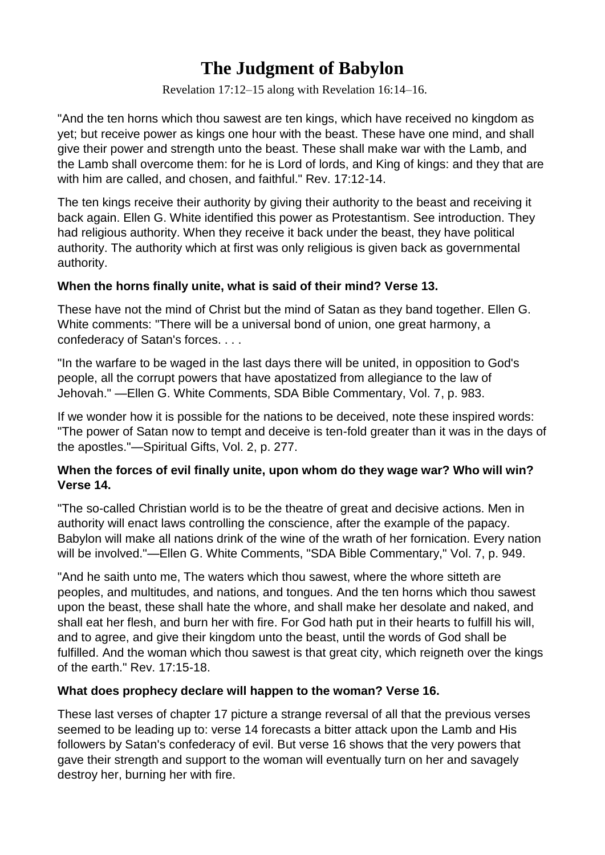# **The Judgment of Babylon**

[Revelation 17:12–15](https://biblia.com/bible/niv/Rev%2017.12%E2%80%9315) along with [Revelation 16:14–16.](https://biblia.com/bible/niv/Rev%2016.14%E2%80%9316)

"And the ten horns which thou sawest are ten kings, which have received no kingdom as yet; but receive power as kings one hour with the beast. These have one mind, and shall give their power and strength unto the beast. These shall make war with the Lamb, and the Lamb shall overcome them: for he is Lord of lords, and King of kings: and they that are with him are called, and chosen, and faithful." Rev. 17:12-14.

The ten kings receive their authority by giving their authority to the beast and receiving it back again. Ellen G. White identified this power as Protestantism. See introduction. They had religious authority. When they receive it back under the beast, they have political authority. The authority which at first was only religious is given back as governmental authority.

### **When the horns finally unite, what is said of their mind? Verse 13.**

These have not the mind of Christ but the mind of Satan as they band together. Ellen G. White comments: "There will be a universal bond of union, one great harmony, a confederacy of Satan's forces. . . .

"In the warfare to be waged in the last days there will be united, in opposition to God's people, all the corrupt powers that have apostatized from allegiance to the law of Jehovah." —Ellen G. White Comments, SDA Bible Commentary, Vol. 7, p. 983.

If we wonder how it is possible for the nations to be deceived, note these inspired words: "The power of Satan now to tempt and deceive is ten-fold greater than it was in the days of the apostles."—Spiritual Gifts, Vol. 2, p. 277.

### **When the forces of evil finally unite, upon whom do they wage war? Who will win? Verse 14.**

"The so-called Christian world is to be the theatre of great and decisive actions. Men in authority will enact laws controlling the conscience, after the example of the papacy. Babylon will make all nations drink of the wine of the wrath of her fornication. Every nation will be involved."—Ellen G. White Comments, "SDA Bible Commentary," Vol. 7, p. 949.

"And he saith unto me, The waters which thou sawest, where the whore sitteth are peoples, and multitudes, and nations, and tongues. And the ten horns which thou sawest upon the beast, these shall hate the whore, and shall make her desolate and naked, and shall eat her flesh, and burn her with fire. For God hath put in their hearts to fulfill his will, and to agree, and give their kingdom unto the beast, until the words of God shall be fulfilled. And the woman which thou sawest is that great city, which reigneth over the kings of the earth." Rev. 17:15-18.

### **What does prophecy declare will happen to the woman? Verse 16.**

These last verses of chapter 17 picture a strange reversal of all that the previous verses seemed to be leading up to: verse 14 forecasts a bitter attack upon the Lamb and His followers by Satan's confederacy of evil. But verse 16 shows that the very powers that gave their strength and support to the woman will eventually turn on her and savagely destroy her, burning her with fire.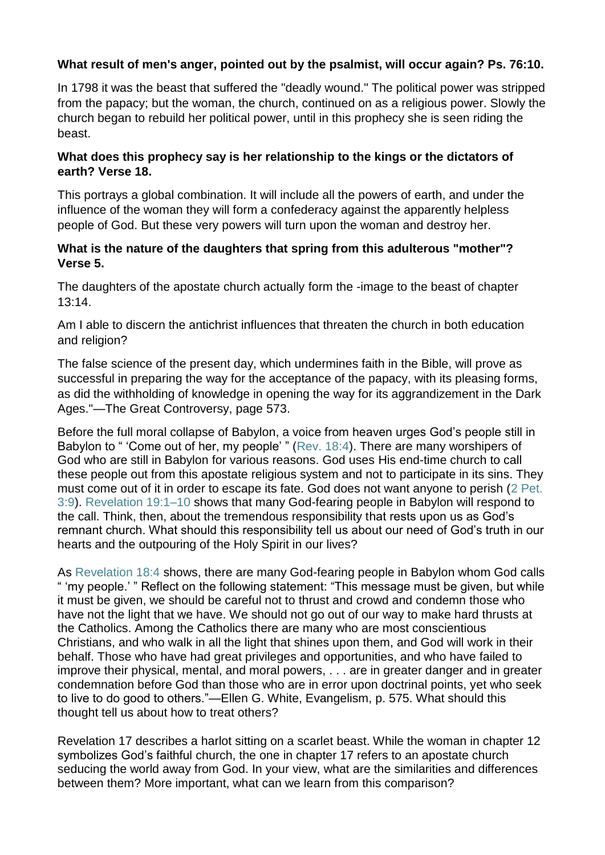## **What result of men's anger, pointed out by the psalmist, will occur again? Ps. 76:10.**

In 1798 it was the beast that suffered the "deadly wound." The political power was stripped from the papacy; but the woman, the church, continued on as a religious power. Slowly the church began to rebuild her political power, until in this prophecy she is seen riding the beast.

### **What does this prophecy say is her relationship to the kings or the dictators of earth? Verse 18.**

This portrays a global combination. It will include all the powers of earth, and under the influence of the woman they will form a confederacy against the apparently helpless people of God. But these very powers will turn upon the woman and destroy her.

### **What is the nature of the daughters that spring from this adulterous "mother"? Verse 5.**

The daughters of the apostate church actually form the -image to the beast of chapter 13:14.

Am I able to discern the antichrist influences that threaten the church in both education and religion?

The false science of the present day, which undermines faith in the Bible, will prove as successful in preparing the way for the acceptance of the papacy, with its pleasing forms, as did the withholding of knowledge in opening the way for its aggrandizement in the Dark Ages."—The Great Controversy, page 573.

Before the full moral collapse of Babylon, a voice from heaven urges God's people still in Babylon to " 'Come out of her, my people' " [\(Rev. 18:4\)](https://biblia.com/bible/niv/Rev.%2018.4). There are many worshipers of God who are still in Babylon for various reasons. God uses His end-time church to call these people out from this apostate religious system and not to participate in its sins. They must come out of it in order to escape its fate. God does not want anyone to perish [\(2 Pet.](https://biblia.com/bible/niv/2%20Pet.%203.9)  [3:9\)](https://biblia.com/bible/niv/2%20Pet.%203.9). [Revelation 19:1–10](https://biblia.com/bible/niv/Rev%2019.1%E2%80%9310) shows that many God-fearing people in Babylon will respond to the call. Think, then, about the tremendous responsibility that rests upon us as God's remnant church. What should this responsibility tell us about our need of God's truth in our hearts and the outpouring of the Holy Spirit in our lives?

As [Revelation 18:4](https://biblia.com/bible/niv/Rev%2018.4) shows, there are many God-fearing people in Babylon whom God calls " 'my people.' " Reflect on the following statement: "This message must be given, but while it must be given, we should be careful not to thrust and crowd and condemn those who have not the light that we have. We should not go out of our way to make hard thrusts at the Catholics. Among the Catholics there are many who are most conscientious Christians, and who walk in all the light that shines upon them, and God will work in their behalf. Those who have had great privileges and opportunities, and who have failed to improve their physical, mental, and moral powers, . . . are in greater danger and in greater condemnation before God than those who are in error upon doctrinal points, yet who seek to live to do good to others."—Ellen G. White, Evangelism, p. 575. What should this thought tell us about how to treat others?

Revelation 17 describes a harlot sitting on a scarlet beast. While the woman in chapter 12 symbolizes God's faithful church, the one in chapter 17 refers to an apostate church seducing the world away from God. In your view, what are the similarities and differences between them? More important, what can we learn from this comparison?